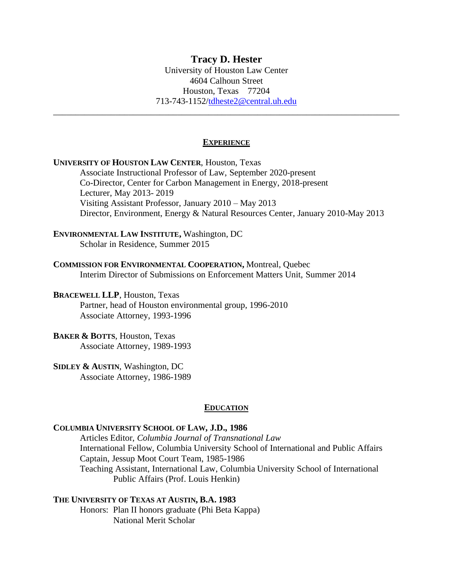# **Tracy D. Hester**

University of Houston Law Center 4604 Calhoun Street Houston, Texas 77204 713-743-1152[/tdheste2@central.uh.edu](mailto:tdheste2@central.uh.edu)

\_\_\_\_\_\_\_\_\_\_\_\_\_\_\_\_\_\_\_\_\_\_\_\_\_\_\_\_\_\_\_\_\_\_\_\_\_\_\_\_\_\_\_\_\_\_\_\_\_\_\_\_\_\_\_\_\_\_\_\_\_\_\_\_\_\_\_\_\_\_\_\_\_\_\_\_\_\_

# **EXPERIENCE**

| <b>UNIVERSITY OF HOUSTON LAW CENTER, Houston, Texas</b><br>Associate Instructional Professor of Law, September 2020-present<br>Co-Director, Center for Carbon Management in Energy, 2018-present<br>Lecturer, May 2013-2019<br>Visiting Assistant Professor, January 2010 - May 2013<br>Director, Environment, Energy & Natural Resources Center, January 2010-May 2013 |  |
|-------------------------------------------------------------------------------------------------------------------------------------------------------------------------------------------------------------------------------------------------------------------------------------------------------------------------------------------------------------------------|--|
| <b>ENVIRONMENTAL LAW INSTITUTE, Washington, DC</b><br>Scholar in Residence, Summer 2015                                                                                                                                                                                                                                                                                 |  |
| <b>COMMISSION FOR ENVIRONMENTAL COOPERATION, Montreal, Quebec</b><br>Interim Director of Submissions on Enforcement Matters Unit, Summer 2014                                                                                                                                                                                                                           |  |
| <b>BRACEWELL LLP, Houston, Texas</b><br>Partner, head of Houston environmental group, 1996-2010<br>Associate Attorney, 1993-1996                                                                                                                                                                                                                                        |  |
| <b>BAKER &amp; BOTTS, Houston, Texas</b><br>Associate Attorney, 1989-1993                                                                                                                                                                                                                                                                                               |  |
| SIDLEY & AUSTIN, Washington, DC<br>Associate Attorney, 1986-1989                                                                                                                                                                                                                                                                                                        |  |
| <b>EDUCATION</b>                                                                                                                                                                                                                                                                                                                                                        |  |
| COLUMBIA UNIVERSITY SCHOOL OF LAW, J.D., 1986<br>Articles Editor Columbia Journal of Transpational Law                                                                                                                                                                                                                                                                  |  |

Articles Editor, *Columbia Journal of Transnational Law* International Fellow, Columbia University School of International and Public Affairs Captain, Jessup Moot Court Team, 1985-1986 Teaching Assistant, International Law, Columbia University School of International Public Affairs (Prof. Louis Henkin)

**THE UNIVERSITY OF TEXAS AT AUSTIN, B.A. 1983** Honors: Plan II honors graduate (Phi Beta Kappa) National Merit Scholar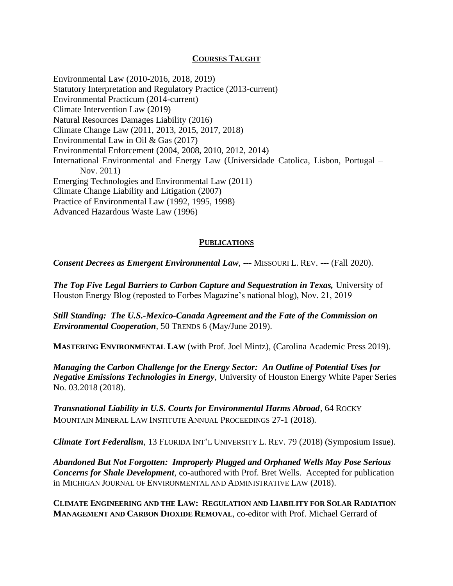# **COURSES TAUGHT**

Environmental Law (2010-2016, 2018, 2019) Statutory Interpretation and Regulatory Practice (2013-current) Environmental Practicum (2014-current) Climate Intervention Law (2019) Natural Resources Damages Liability (2016) Climate Change Law (2011, 2013, 2015, 2017, 2018) Environmental Law in Oil & Gas (2017) Environmental Enforcement (2004, 2008, 2010, 2012, 2014) International Environmental and Energy Law (Universidade Catolica, Lisbon, Portugal – Nov. 2011) Emerging Technologies and Environmental Law (2011) Climate Change Liability and Litigation (2007) Practice of Environmental Law (1992, 1995, 1998) Advanced Hazardous Waste Law (1996)

# **PUBLICATIONS**

*Consent Decrees as Emergent Environmental Law*, --- MISSOURI L. REV. --- (Fall 2020).

*The Top Five Legal Barriers to Carbon Capture and Sequestration in Texas, University of* Houston Energy Blog (reposted to Forbes Magazine's national blog), Nov. 21, 2019

*Still Standing: The U.S.-Mexico-Canada Agreement and the Fate of the Commission on Environmental Cooperation,* 50 TRENDS 6 (May/June 2019).

**MASTERING ENVIRONMENTAL LAW** (with Prof. Joel Mintz), (Carolina Academic Press 2019).

*Managing the Carbon Challenge for the Energy Sector: An Outline of Potential Uses for Negative Emissions Technologies in Energy,* University of Houston Energy White Paper Series No. 03.2018 (2018).

*Transnational Liability in U.S. Courts for Environmental Harms Abroad*, 64 ROCKY MOUNTAIN MINERAL LAW INSTITUTE ANNUAL PROCEEDINGS 27-1 (2018).

*Climate Tort Federalism,* 13 FLORIDA INT'L UNIVERSITY L. REV. 79 (2018) (Symposium Issue).

*Abandoned But Not Forgotten: Improperly Plugged and Orphaned Wells May Pose Serious Concerns for Shale Development,* co-authored with Prof. Bret Wells. Accepted for publication in MICHIGAN JOURNAL OF ENVIRONMENTAL AND ADMINISTRATIVE LAW (2018).

**CLIMATE ENGINEERING AND THE LAW: REGULATION AND LIABILITY FOR SOLAR RADIATION MANAGEMENT AND CARBON DIOXIDE REMOVAL**, co-editor with Prof. Michael Gerrard of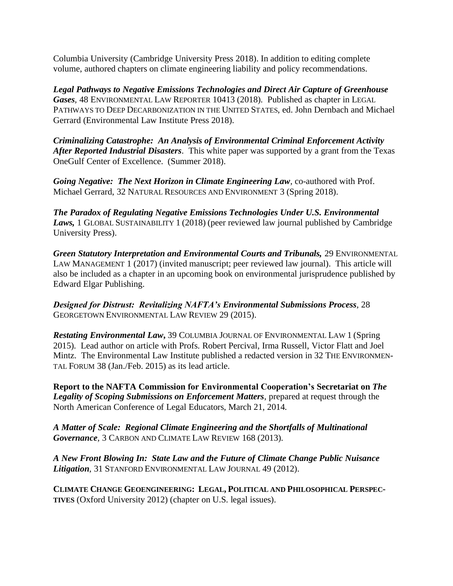Columbia University (Cambridge University Press 2018). In addition to editing complete volume, authored chapters on climate engineering liability and policy recommendations.

*Legal Pathways to Negative Emissions Technologies and Direct Air Capture of Greenhouse Gases,* 48 ENVIRONMENTAL LAW REPORTER 10413 (2018). Published as chapter in LEGAL PATHWAYS TO DEEP DECARBONIZATION IN THE UNITED STATES, ed. John Dernbach and Michael Gerrard (Environmental Law Institute Press 2018).

*Criminalizing Catastrophe: An Analysis of Environmental Criminal Enforcement Activity After Reported Industrial Disasters*. This white paper was supported by a grant from the Texas OneGulf Center of Excellence. (Summer 2018).

*Going Negative: The Next Horizon in Climate Engineering Law*, co-authored with Prof. Michael Gerrard, 32 NATURAL RESOURCES AND ENVIRONMENT 3 (Spring 2018).

*The Paradox of Regulating Negative Emissions Technologies Under U.S. Environmental Laws,* 1 GLOBAL SUSTAINABILITY 1 (2018) (peer reviewed law journal published by Cambridge University Press).

*Green Statutory Interpretation and Environmental Courts and Tribunals,* 29 ENVIRONMENTAL LAW MANAGEMENT 1 (2017) (invited manuscript; peer reviewed law journal). This article will also be included as a chapter in an upcoming book on environmental jurisprudence published by Edward Elgar Publishing.

*Designed for Distrust: Revitalizing NAFTA's Environmental Submissions Process,* 28 GEORGETOWN ENVIRONMENTAL LAW REVIEW 29 (2015).

*Restating Environmental Law***,** 39 COLUMBIA JOURNAL OF ENVIRONMENTAL LAW 1 (Spring 2015)*.* Lead author on article with Profs. Robert Percival, Irma Russell, Victor Flatt and Joel Mintz. The Environmental Law Institute published a redacted version in 32 THE ENVIRONMEN-TAL FORUM 38 (Jan./Feb. 2015) as its lead article.

**Report to the NAFTA Commission for Environmental Cooperation's Secretariat on** *The Legality of Scoping Submissions on Enforcement Matters*, prepared at request through the North American Conference of Legal Educators, March 21, 2014.

*A Matter of Scale: Regional Climate Engineering and the Shortfalls of Multinational Governance,* 3 CARBON AND CLIMATE LAW REVIEW 168 (2013).

*A New Front Blowing In: State Law and the Future of Climate Change Public Nuisance Litigation*, 31 STANFORD ENVIRONMENTAL LAW JOURNAL 49 (2012).

**CLIMATE CHANGE GEOENGINEERING: LEGAL, POLITICAL AND PHILOSOPHICAL PERSPEC-TIVES** (Oxford University 2012) (chapter on U.S. legal issues).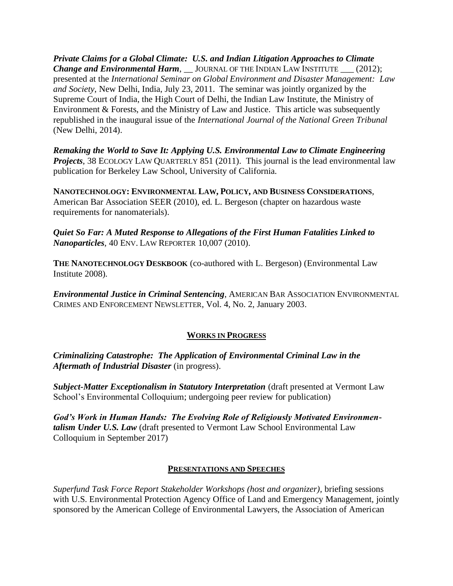*Private Claims for a Global Climate: U.S. and Indian Litigation Approaches to Climate Change and Environmental Harm*, \_\_JOURNAL OF THE INDIAN LAW INSTITUTE \_\_\_ (2012); presented at the *International Seminar on Global Environment and Disaster Management: Law and Society*, New Delhi, India, July 23, 2011. The seminar was jointly organized by the Supreme Court of India, the High Court of Delhi, the Indian Law Institute, the Ministry of Environment & Forests, and the Ministry of Law and Justice. This article was subsequently republished in the inaugural issue of the *International Journal of the National Green Tribunal*  (New Delhi, 2014).

*Remaking the World to Save It: Applying U.S. Environmental Law to Climate Engineering Projects*, 38 ECOLOGY LAW QUARTERLY 851 (2011). This journal is the lead environmental law publication for Berkeley Law School, University of California.

**NANOTECHNOLOGY: ENVIRONMENTAL LAW, POLICY, AND BUSINESS CONSIDERATIONS**, American Bar Association SEER (2010), ed. L. Bergeson (chapter on hazardous waste requirements for nanomaterials).

*Quiet So Far: A Muted Response to Allegations of the First Human Fatalities Linked to Nanoparticles*, 40 ENV. LAW REPORTER 10,007 (2010).

**THE NANOTECHNOLOGY DESKBOOK** (co-authored with L. Bergeson) (Environmental Law Institute 2008).

*Environmental Justice in Criminal Sentencing*, AMERICAN BAR ASSOCIATION ENVIRONMENTAL CRIMES AND ENFORCEMENT NEWSLETTER, Vol. 4, No. 2, January 2003.

# **WORKS IN PROGRESS**

*Criminalizing Catastrophe: The Application of Environmental Criminal Law in the Aftermath of Industrial Disaster* (in progress).

*Subject-Matter Exceptionalism in Statutory Interpretation* (draft presented at Vermont Law School's Environmental Colloquium; undergoing peer review for publication)

*God's Work in Human Hands: The Evolving Role of Religiously Motivated Environmentalism Under U.S. Law* (draft presented to Vermont Law School Environmental Law Colloquium in September 2017)

# **PRESENTATIONS AND SPEECHES**

*Superfund Task Force Report Stakeholder Workshops (host and organizer),* briefing sessions with U.S. Environmental Protection Agency Office of Land and Emergency Management, jointly sponsored by the American College of Environmental Lawyers, the Association of American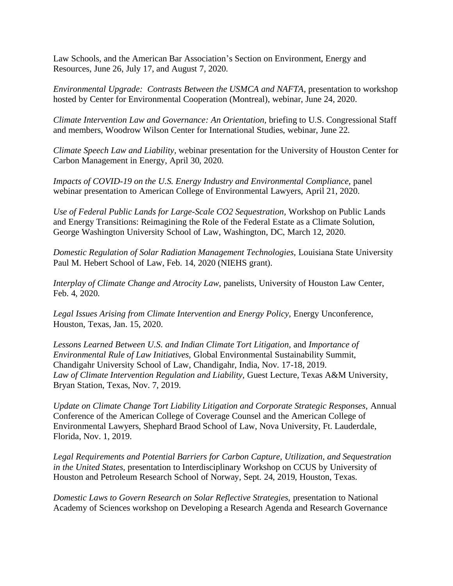Law Schools, and the American Bar Association's Section on Environment, Energy and Resources, June 26, July 17, and August 7, 2020.

*Environmental Upgrade: Contrasts Between the USMCA and NAFTA, presentation to workshop* hosted by Center for Environmental Cooperation (Montreal), webinar, June 24, 2020.

*Climate Intervention Law and Governance: An Orientation,* briefing to U.S. Congressional Staff and members, Woodrow Wilson Center for International Studies, webinar, June 22.

*Climate Speech Law and Liability,* webinar presentation for the University of Houston Center for Carbon Management in Energy, April 30, 2020.

*Impacts of COVID-19 on the U.S. Energy Industry and Environmental Compliance, panel* webinar presentation to American College of Environmental Lawyers, April 21, 2020.

*Use of Federal Public Lands for Large-Scale CO2 Sequestration,* Workshop on Public Lands and Energy Transitions: Reimagining the Role of the Federal Estate as a Climate Solution, George Washington University School of Law, Washington, DC, March 12, 2020.

*Domestic Regulation of Solar Radiation Management Technologies,* Louisiana State University Paul M. Hebert School of Law, Feb. 14, 2020 (NIEHS grant).

*Interplay of Climate Change and Atrocity Law,* panelists, University of Houston Law Center, Feb. 4, 2020.

Legal Issues Arising from Climate Intervention and Energy Policy, Energy Unconference, Houston, Texas, Jan. 15, 2020.

*Lessons Learned Between U.S. and Indian Climate Tort Litigation,* and *Importance of Environmental Rule of Law Initiatives,* Global Environmental Sustainability Summit, Chandigahr University School of Law, Chandigahr, India, Nov. 17-18, 2019. *Law of Climate Intervention Regulation and Liability,* Guest Lecture, Texas A&M University, Bryan Station, Texas, Nov. 7, 2019.

*Update on Climate Change Tort Liability Litigation and Corporate Strategic Responses,* Annual Conference of the American College of Coverage Counsel and the American College of Environmental Lawyers, Shephard Braod School of Law, Nova University, Ft. Lauderdale, Florida, Nov. 1, 2019.

*Legal Requirements and Potential Barriers for Carbon Capture, Utilization, and Sequestration in the United States,* presentation to Interdisciplinary Workshop on CCUS by University of Houston and Petroleum Research School of Norway, Sept. 24, 2019, Houston, Texas.

*Domestic Laws to Govern Research on Solar Reflective Strategies,* presentation to National Academy of Sciences workshop on Developing a Research Agenda and Research Governance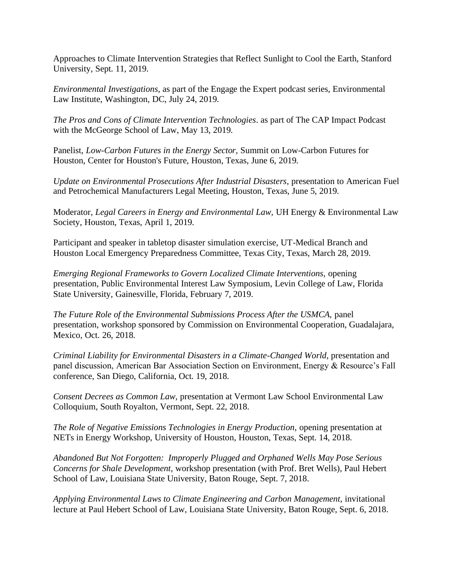Approaches to Climate Intervention Strategies that Reflect Sunlight to Cool the Earth, Stanford University, Sept. 11, 2019.

*Environmental Investigations*, as part of the Engage the Expert podcast series, Environmental Law Institute, Washington, DC, July 24, 2019.

*The Pros and Cons of Climate Intervention Technologies*. as part of The CAP Impact Podcast with the McGeorge School of Law, May 13, 2019.

Panelist, *Low-Carbon Futures in the Energy Sector,* Summit on Low-Carbon Futures for Houston, Center for Houston's Future, Houston, Texas, June 6, 2019.

*Update on Environmental Prosecutions After Industrial Disasters*, presentation to American Fuel and Petrochemical Manufacturers Legal Meeting, Houston, Texas, June 5, 2019.

Moderator, *Legal Careers in Energy and Environmental Law,* UH Energy & Environmental Law Society, Houston, Texas, April 1, 2019.

Participant and speaker in tabletop disaster simulation exercise, UT-Medical Branch and Houston Local Emergency Preparedness Committee, Texas City, Texas, March 28, 2019.

*Emerging Regional Frameworks to Govern Localized Climate Interventions,* opening presentation, Public Environmental Interest Law Symposium, Levin College of Law, Florida State University, Gainesville, Florida, February 7, 2019.

*The Future Role of the Environmental Submissions Process After the USMCA, panel* presentation, workshop sponsored by Commission on Environmental Cooperation, Guadalajara, Mexico, Oct. 26, 2018.

*Criminal Liability for Environmental Disasters in a Climate-Changed World*, presentation and panel discussion, American Bar Association Section on Environment, Energy & Resource's Fall conference, San Diego, California, Oct. 19, 2018.

*Consent Decrees as Common Law,* presentation at Vermont Law School Environmental Law Colloquium, South Royalton, Vermont, Sept. 22, 2018.

*The Role of Negative Emissions Technologies in Energy Production,* opening presentation at NETs in Energy Workshop, University of Houston, Houston, Texas, Sept. 14, 2018.

*Abandoned But Not Forgotten: Improperly Plugged and Orphaned Wells May Pose Serious Concerns for Shale Development*, workshop presentation (with Prof. Bret Wells), Paul Hebert School of Law, Louisiana State University, Baton Rouge, Sept. 7, 2018.

*Applying Environmental Laws to Climate Engineering and Carbon Management, invitational* lecture at Paul Hebert School of Law, Louisiana State University, Baton Rouge, Sept. 6, 2018.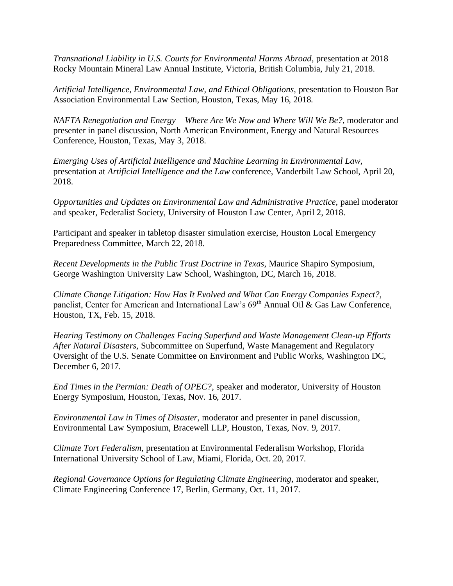*Transnational Liability in U.S. Courts for Environmental Harms Abroad*, presentation at 2018 Rocky Mountain Mineral Law Annual Institute, Victoria, British Columbia, July 21, 2018.

*Artificial Intelligence, Environmental Law, and Ethical Obligations,* presentation to Houston Bar Association Environmental Law Section, Houston, Texas, May 16, 2018.

*NAFTA Renegotiation and Energy – Where Are We Now and Where Will We Be?*, moderator and presenter in panel discussion, North American Environment, Energy and Natural Resources Conference, Houston, Texas, May 3, 2018.

*Emerging Uses of Artificial Intelligence and Machine Learning in Environmental Law,* presentation at *Artificial Intelligence and the Law* conference, Vanderbilt Law School, April 20, 2018.

*Opportunities and Updates on Environmental Law and Administrative Practice, panel moderator* and speaker, Federalist Society, University of Houston Law Center, April 2, 2018.

Participant and speaker in tabletop disaster simulation exercise, Houston Local Emergency Preparedness Committee, March 22, 2018.

*Recent Developments in the Public Trust Doctrine in Texas*, Maurice Shapiro Symposium, George Washington University Law School, Washington, DC, March 16, 2018.

*Climate Change Litigation: How Has It Evolved and What Can Energy Companies Expect?,*  panelist, Center for American and International Law's 69<sup>th</sup> Annual Oil & Gas Law Conference, Houston, TX, Feb. 15, 2018.

*Hearing Testimony on Challenges Facing Superfund and Waste Management Clean-up Efforts After Natural Disasters,* Subcommittee on Superfund, Waste Management and Regulatory Oversight of the U.S. Senate Committee on Environment and Public Works, Washington DC, December 6, 2017.

*End Times in the Permian: Death of OPEC?*, speaker and moderator, University of Houston Energy Symposium, Houston, Texas, Nov. 16, 2017.

*Environmental Law in Times of Disaster,* moderator and presenter in panel discussion, Environmental Law Symposium, Bracewell LLP, Houston, Texas, Nov. 9, 2017.

*Climate Tort Federalism,* presentation at Environmental Federalism Workshop, Florida International University School of Law, Miami, Florida, Oct. 20, 2017.

*Regional Governance Options for Regulating Climate Engineering,* moderator and speaker, Climate Engineering Conference 17, Berlin, Germany, Oct. 11, 2017.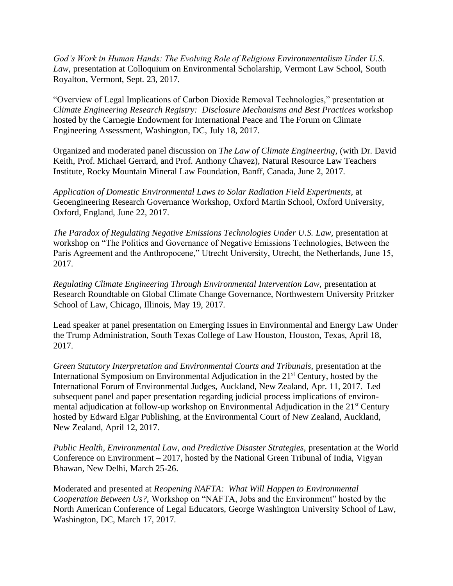*God's Work in Human Hands: The Evolving Role of Religious Environmentalism Under U.S. Law,* presentation at Colloquium on Environmental Scholarship, Vermont Law School, South Royalton, Vermont, Sept. 23, 2017.

"Overview of Legal Implications of Carbon Dioxide Removal Technologies," presentation at *Climate Engineering Research Registry: Disclosure Mechanisms and Best Practices* workshop hosted by the Carnegie Endowment for International Peace and The Forum on Climate Engineering Assessment, Washington, DC*,* July 18, 2017.

Organized and moderated panel discussion on *The Law of Climate Engineering*, (with Dr. David Keith, Prof. Michael Gerrard, and Prof. Anthony Chavez), Natural Resource Law Teachers Institute, Rocky Mountain Mineral Law Foundation, Banff, Canada, June 2, 2017.

*Application of Domestic Environmental Laws to Solar Radiation Field Experiments*, at Geoengineering Research Governance Workshop, Oxford Martin School, Oxford University, Oxford, England, June 22, 2017.

*The Paradox of Regulating Negative Emissions Technologies Under U.S. Law,* presentation at workshop on "The Politics and Governance of Negative Emissions Technologies, Between the Paris Agreement and the Anthropocene," Utrecht University, Utrecht, the Netherlands, June 15, 2017.

*Regulating Climate Engineering Through Environmental Intervention Law,* presentation at Research Roundtable on Global Climate Change Governance, Northwestern University Pritzker School of Law, Chicago, Illinois, May 19, 2017.

Lead speaker at panel presentation on Emerging Issues in Environmental and Energy Law Under the Trump Administration, South Texas College of Law Houston, Houston, Texas, April 18, 2017.

*Green Statutory Interpretation and Environmental Courts and Tribunals,* presentation at the International Symposium on Environmental Adjudication in the 21<sup>st</sup> Century, hosted by the International Forum of Environmental Judges, Auckland, New Zealand, Apr. 11, 2017. Led subsequent panel and paper presentation regarding judicial process implications of environmental adjudication at follow-up workshop on Environmental Adjudication in the 21<sup>st</sup> Century hosted by Edward Elgar Publishing, at the Environmental Court of New Zealand, Auckland, New Zealand, April 12, 2017.

*Public Health, Environmental Law, and Predictive Disaster Strategies*, presentation at the World Conference on Environment – 2017, hosted by the National Green Tribunal of India, Vigyan Bhawan, New Delhi, March 25-26.

Moderated and presented at *Reopening NAFTA: What Will Happen to Environmental Cooperation Between Us?,* Workshop on "NAFTA, Jobs and the Environment" hosted by the North American Conference of Legal Educators, George Washington University School of Law, Washington, DC, March 17, 2017.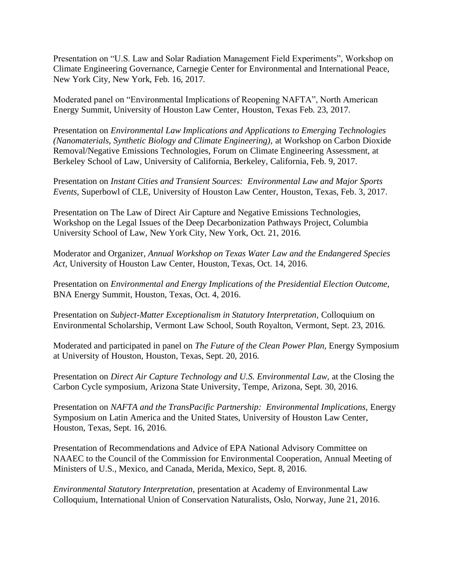Presentation on "U.S. Law and Solar Radiation Management Field Experiments", Workshop on Climate Engineering Governance, Carnegie Center for Environmental and International Peace, New York City, New York, Feb. 16, 2017.

Moderated panel on "Environmental Implications of Reopening NAFTA", North American Energy Summit, University of Houston Law Center, Houston, Texas Feb. 23, 2017.

Presentation on *Environmental Law Implications and Applications to Emerging Technologies (Nanomaterials, Synthetic Biology and Climate Engineering),* at Workshop on Carbon Dioxide Removal/Negative Emissions Technologies, Forum on Climate Engineering Assessment, at Berkeley School of Law, University of California, Berkeley, California, Feb. 9, 2017.

Presentation on *Instant Cities and Transient Sources: Environmental Law and Major Sports Events,* Superbowl of CLE, University of Houston Law Center, Houston, Texas, Feb. 3, 2017.

Presentation on The Law of Direct Air Capture and Negative Emissions Technologies, Workshop on the Legal Issues of the Deep Decarbonization Pathways Project, Columbia University School of Law, New York City, New York, Oct. 21, 2016.

Moderator and Organizer, *Annual Workshop on Texas Water Law and the Endangered Species Act*, University of Houston Law Center, Houston, Texas, Oct. 14, 2016.

Presentation on *Environmental and Energy Implications of the Presidential Election Outcome,* BNA Energy Summit, Houston, Texas, Oct. 4, 2016.

Presentation on *Subject-Matter Exceptionalism in Statutory Interpretation,* Colloquium on Environmental Scholarship, Vermont Law School, South Royalton, Vermont, Sept. 23, 2016.

Moderated and participated in panel on *The Future of the Clean Power Plan,* Energy Symposium at University of Houston, Houston, Texas, Sept. 20, 2016.

Presentation on *Direct Air Capture Technology and U.S. Environmental Law,* at the Closing the Carbon Cycle symposium, Arizona State University, Tempe, Arizona, Sept. 30, 2016.

Presentation on *NAFTA and the TransPacific Partnership: Environmental Implications,* Energy Symposium on Latin America and the United States, University of Houston Law Center, Houston, Texas, Sept. 16, 2016.

Presentation of Recommendations and Advice of EPA National Advisory Committee on NAAEC to the Council of the Commission for Environmental Cooperation, Annual Meeting of Ministers of U.S., Mexico, and Canada, Merida, Mexico, Sept. 8, 2016.

*Environmental Statutory Interpretation,* presentation at Academy of Environmental Law Colloquium, International Union of Conservation Naturalists, Oslo, Norway, June 21, 2016.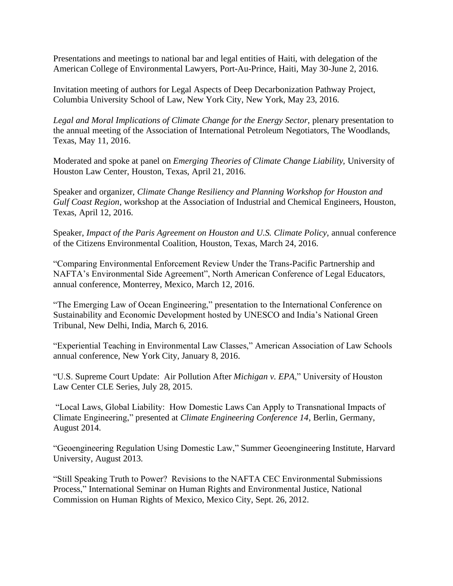Presentations and meetings to national bar and legal entities of Haiti, with delegation of the American College of Environmental Lawyers, Port-Au-Prince, Haiti, May 30-June 2, 2016.

Invitation meeting of authors for Legal Aspects of Deep Decarbonization Pathway Project, Columbia University School of Law, New York City, New York, May 23, 2016.

*Legal and Moral Implications of Climate Change for the Energy Sector,* plenary presentation to the annual meeting of the Association of International Petroleum Negotiators, The Woodlands, Texas, May 11, 2016.

Moderated and spoke at panel on *Emerging Theories of Climate Change Liability,* University of Houston Law Center, Houston, Texas, April 21, 2016.

Speaker and organizer, *Climate Change Resiliency and Planning Workshop for Houston and Gulf Coast Region*, workshop at the Association of Industrial and Chemical Engineers, Houston, Texas, April 12, 2016.

Speaker, *Impact of the Paris Agreement on Houston and U.S. Climate Policy*, annual conference of the Citizens Environmental Coalition, Houston, Texas, March 24, 2016.

"Comparing Environmental Enforcement Review Under the Trans-Pacific Partnership and NAFTA's Environmental Side Agreement", North American Conference of Legal Educators, annual conference, Monterrey, Mexico, March 12, 2016.

"The Emerging Law of Ocean Engineering," presentation to the International Conference on Sustainability and Economic Development hosted by UNESCO and India's National Green Tribunal, New Delhi, India, March 6, 2016.

"Experiential Teaching in Environmental Law Classes," American Association of Law Schools annual conference, New York City, January 8, 2016.

"U.S. Supreme Court Update: Air Pollution After *Michigan v. EPA*," University of Houston Law Center CLE Series, July 28, 2015.

"Local Laws, Global Liability: How Domestic Laws Can Apply to Transnational Impacts of Climate Engineering," presented at *Climate Engineering Conference 14*, Berlin, Germany, August 2014.

"Geoengineering Regulation Using Domestic Law," Summer Geoengineering Institute, Harvard University, August 2013.

"Still Speaking Truth to Power? Revisions to the NAFTA CEC Environmental Submissions Process," International Seminar on Human Rights and Environmental Justice, National Commission on Human Rights of Mexico, Mexico City, Sept. 26, 2012.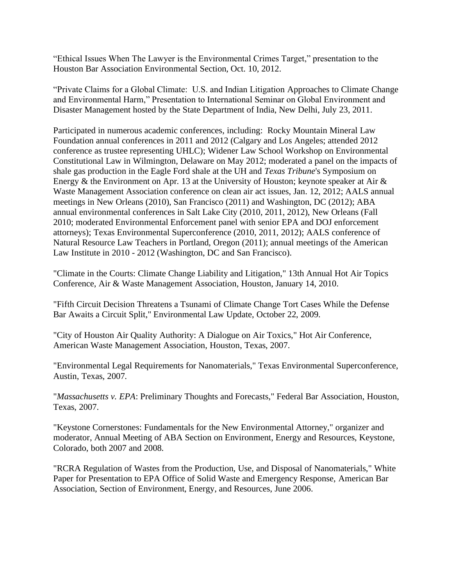"Ethical Issues When The Lawyer is the Environmental Crimes Target," presentation to the Houston Bar Association Environmental Section, Oct. 10, 2012.

"Private Claims for a Global Climate: U.S. and Indian Litigation Approaches to Climate Change and Environmental Harm," Presentation to International Seminar on Global Environment and Disaster Management hosted by the State Department of India, New Delhi, July 23, 2011.

Participated in numerous academic conferences, including: Rocky Mountain Mineral Law Foundation annual conferences in 2011 and 2012 (Calgary and Los Angeles; attended 2012 conference as trustee representing UHLC); Widener Law School Workshop on Environmental Constitutional Law in Wilmington, Delaware on May 2012; moderated a panel on the impacts of shale gas production in the Eagle Ford shale at the UH and *Texas Tribune*'s Symposium on Energy & the Environment on Apr. 13 at the University of Houston; keynote speaker at Air & Waste Management Association conference on clean air act issues, Jan. 12, 2012; AALS annual meetings in New Orleans (2010), San Francisco (2011) and Washington, DC (2012); ABA annual environmental conferences in Salt Lake City (2010, 2011, 2012), New Orleans (Fall 2010; moderated Environmental Enforcement panel with senior EPA and DOJ enforcement attorneys); Texas Environmental Superconference (2010, 2011, 2012); AALS conference of Natural Resource Law Teachers in Portland, Oregon (2011); annual meetings of the American Law Institute in 2010 - 2012 (Washington, DC and San Francisco).

"Climate in the Courts: Climate Change Liability and Litigation," 13th Annual Hot Air Topics Conference, Air & Waste Management Association, Houston, January 14, 2010.

"Fifth Circuit Decision Threatens a Tsunami of Climate Change Tort Cases While the Defense Bar Awaits a Circuit Split," Environmental Law Update, October 22, 2009.

"City of Houston Air Quality Authority: A Dialogue on Air Toxics," Hot Air Conference, American Waste Management Association, Houston, Texas, 2007.

"Environmental Legal Requirements for Nanomaterials," Texas Environmental Superconference, Austin, Texas, 2007.

"*Massachusetts v. EPA*: Preliminary Thoughts and Forecasts," Federal Bar Association, Houston, Texas, 2007.

"Keystone Cornerstones: Fundamentals for the New Environmental Attorney," organizer and moderator, Annual Meeting of ABA Section on Environment, Energy and Resources, Keystone, Colorado, both 2007 and 2008.

"RCRA Regulation of Wastes from the Production, Use, and Disposal of Nanomaterials," White Paper for Presentation to EPA Office of Solid Waste and Emergency Response, American Bar Association, Section of Environment, Energy, and Resources, June 2006.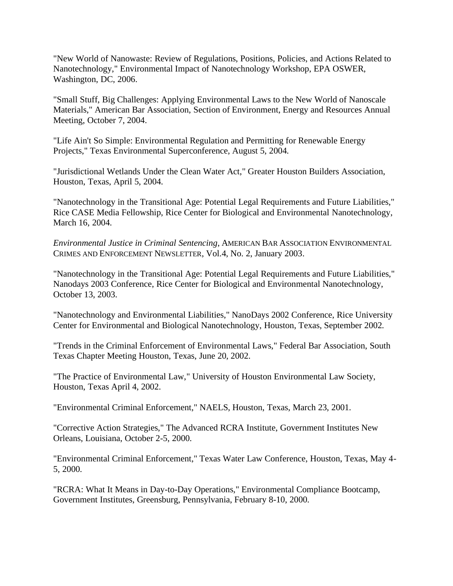"New World of Nanowaste: Review of Regulations, Positions, Policies, and Actions Related to Nanotechnology," Environmental Impact of Nanotechnology Workshop, EPA OSWER, Washington, DC, 2006.

"Small Stuff, Big Challenges: Applying Environmental Laws to the New World of Nanoscale Materials," American Bar Association, Section of Environment, Energy and Resources Annual Meeting, October 7, 2004.

"Life Ain't So Simple: Environmental Regulation and Permitting for Renewable Energy Projects," Texas Environmental Superconference, August 5, 2004.

"Jurisdictional Wetlands Under the Clean Water Act," Greater Houston Builders Association, Houston, Texas, April 5, 2004.

"Nanotechnology in the Transitional Age: Potential Legal Requirements and Future Liabilities," Rice CASE Media Fellowship, Rice Center for Biological and Environmental Nanotechnology, March 16, 2004.

*Environmental Justice in Criminal Sentencing*, AMERICAN BAR ASSOCIATION ENVIRONMENTAL CRIMES AND ENFORCEMENT NEWSLETTER, Vol.4, No. 2, January 2003.

"Nanotechnology in the Transitional Age: Potential Legal Requirements and Future Liabilities," Nanodays 2003 Conference, Rice Center for Biological and Environmental Nanotechnology, October 13, 2003.

"Nanotechnology and Environmental Liabilities," NanoDays 2002 Conference, Rice University Center for Environmental and Biological Nanotechnology, Houston, Texas, September 2002.

"Trends in the Criminal Enforcement of Environmental Laws," Federal Bar Association, South Texas Chapter Meeting Houston, Texas, June 20, 2002.

"The Practice of Environmental Law," University of Houston Environmental Law Society, Houston, Texas April 4, 2002.

"Environmental Criminal Enforcement," NAELS, Houston, Texas, March 23, 2001.

"Corrective Action Strategies," The Advanced RCRA Institute, Government Institutes New Orleans, Louisiana, October 2-5, 2000.

"Environmental Criminal Enforcement," Texas Water Law Conference, Houston, Texas, May 4- 5, 2000.

"RCRA: What It Means in Day-to-Day Operations," Environmental Compliance Bootcamp, Government Institutes, Greensburg, Pennsylvania, February 8-10, 2000.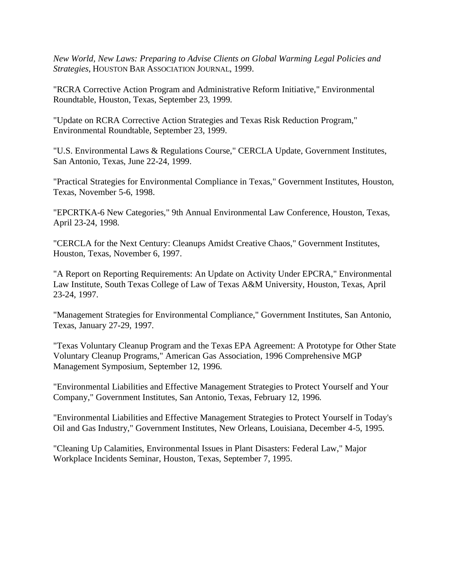*New World, New Laws: Preparing to Advise Clients on Global Warming Legal Policies and Strategies*, HOUSTON BAR ASSOCIATION JOURNAL, 1999.

"RCRA Corrective Action Program and Administrative Reform Initiative," Environmental Roundtable, Houston, Texas, September 23, 1999.

"Update on RCRA Corrective Action Strategies and Texas Risk Reduction Program," Environmental Roundtable, September 23, 1999.

"U.S. Environmental Laws & Regulations Course," CERCLA Update, Government Institutes, San Antonio, Texas, June 22-24, 1999.

"Practical Strategies for Environmental Compliance in Texas," Government Institutes, Houston, Texas, November 5-6, 1998.

"EPCRTKA-6 New Categories," 9th Annual Environmental Law Conference, Houston, Texas, April 23-24, 1998.

"CERCLA for the Next Century: Cleanups Amidst Creative Chaos," Government Institutes, Houston, Texas, November 6, 1997.

"A Report on Reporting Requirements: An Update on Activity Under EPCRA," Environmental Law Institute, South Texas College of Law of Texas A&M University, Houston, Texas, April 23-24, 1997.

"Management Strategies for Environmental Compliance," Government Institutes, San Antonio, Texas, January 27-29, 1997.

"Texas Voluntary Cleanup Program and the Texas EPA Agreement: A Prototype for Other State Voluntary Cleanup Programs," American Gas Association, 1996 Comprehensive MGP Management Symposium, September 12, 1996.

"Environmental Liabilities and Effective Management Strategies to Protect Yourself and Your Company," Government Institutes, San Antonio, Texas, February 12, 1996.

"Environmental Liabilities and Effective Management Strategies to Protect Yourself in Today's Oil and Gas Industry," Government Institutes, New Orleans, Louisiana, December 4-5, 1995.

"Cleaning Up Calamities, Environmental Issues in Plant Disasters: Federal Law," Major Workplace Incidents Seminar, Houston, Texas, September 7, 1995.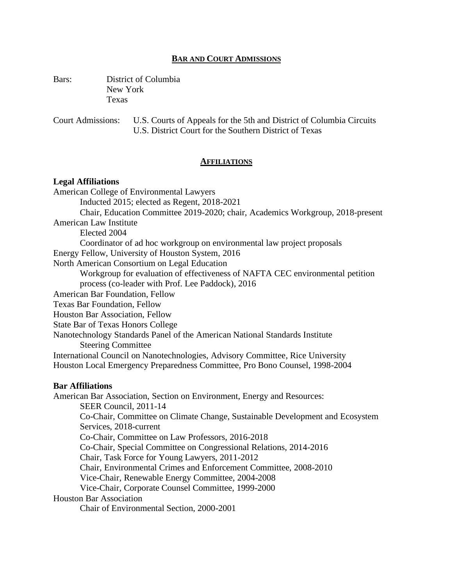### **BAR AND COURT ADMISSIONS**

Bars: District of Columbia New York Texas

Court Admissions: U.S. Courts of Appeals for the 5th and District of Columbia Circuits U.S. District Court for the Southern District of Texas

#### **AFFILIATIONS**

#### **Legal Affiliations**

American College of Environmental Lawyers Inducted 2015; elected as Regent, 2018-2021 Chair, Education Committee 2019-2020; chair, Academics Workgroup, 2018-present American Law Institute Elected 2004 Coordinator of ad hoc workgroup on environmental law project proposals Energy Fellow, University of Houston System, 2016 North American Consortium on Legal Education Workgroup for evaluation of effectiveness of NAFTA CEC environmental petition process (co-leader with Prof. Lee Paddock), 2016 American Bar Foundation, Fellow Texas Bar Foundation, Fellow Houston Bar Association, Fellow State Bar of Texas Honors College Nanotechnology Standards Panel of the American National Standards Institute Steering Committee International Council on Nanotechnologies, Advisory Committee, Rice University Houston Local Emergency Preparedness Committee, Pro Bono Counsel, 1998-2004 **Bar Affiliations** American Bar Association, Section on Environment, Energy and Resources: SEER Council, 2011-14 Co-Chair, Committee on Climate Change, Sustainable Development and Ecosystem Services, 2018-current Co-Chair, Committee on Law Professors, 2016-2018 Co-Chair, Special Committee on Congressional Relations, 2014-2016 Chair, Task Force for Young Lawyers, 2011-2012 Chair, Environmental Crimes and Enforcement Committee, 2008-2010 Vice-Chair, Renewable Energy Committee, 2004-2008 Vice-Chair, Corporate Counsel Committee, 1999-2000 Houston Bar Association

Chair of Environmental Section, 2000-2001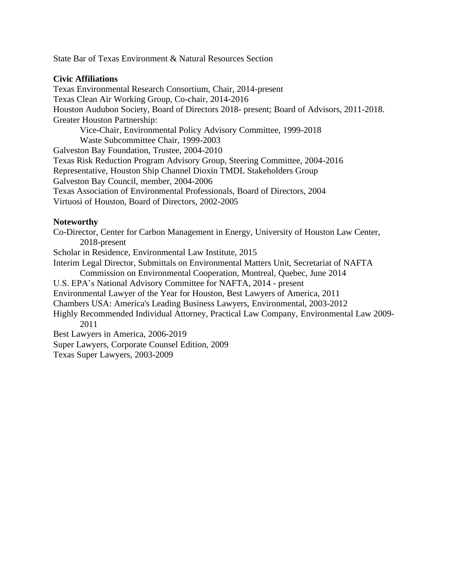State Bar of Texas Environment & Natural Resources Section

# **Civic Affiliations**

Texas Environmental Research Consortium, Chair, 2014-present Texas Clean Air Working Group, Co-chair, 2014-2016 Houston Audubon Society, Board of Directors 2018- present; Board of Advisors, 2011-2018. Greater Houston Partnership: Vice-Chair, Environmental Policy Advisory Committee, 1999-2018 Waste Subcommittee Chair, 1999-2003 Galveston Bay Foundation, Trustee, 2004-2010 Texas Risk Reduction Program Advisory Group, Steering Committee, 2004-2016 Representative, Houston Ship Channel Dioxin TMDL Stakeholders Group Galveston Bay Council, member, 2004-2006 Texas Association of Environmental Professionals, Board of Directors, 2004 Virtuosi of Houston, Board of Directors, 2002-2005

### **Noteworthy**

Co-Director, Center for Carbon Management in Energy, University of Houston Law Center, 2018-present Scholar in Residence, Environmental Law Institute, 2015 Interim Legal Director, Submittals on Environmental Matters Unit, Secretariat of NAFTA Commission on Environmental Cooperation, Montreal, Quebec, June 2014 U.S. EPA's National Advisory Committee for NAFTA, 2014 - present Environmental Lawyer of the Year for Houston, Best Lawyers of America, 2011 Chambers USA: America's Leading Business Lawyers, Environmental, 2003-2012 Highly Recommended Individual Attorney, Practical Law Company, Environmental Law 2009- 2011 Best Lawyers in America*,* 2006-2019 Super Lawyers, Corporate Counsel Edition, 2009 Texas Super Lawyers, 2003-2009